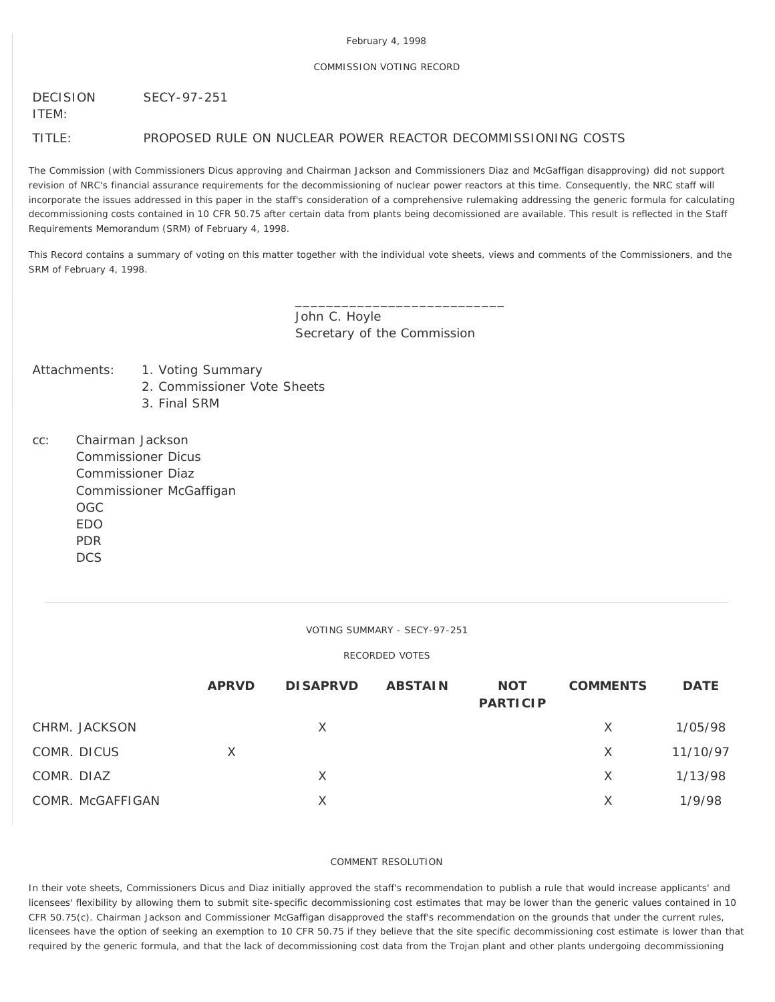## COMMISSION VOTING RECORD

#### DECISION SECY-97-251

ITEM:

TITLE: PROPOSED RULE ON NUCLEAR POWER REACTOR DECOMMISSIONING COSTS

The Commission (with Commissioners Dicus approving and Chairman Jackson and Commissioners Diaz and McGaffigan disapproving) did not support revision of NRC's financial assurance requirements for the decommissioning of nuclear power reactors at this time. Consequently, the NRC staff will incorporate the issues addressed in this paper in the staff's consideration of a comprehensive rulemaking addressing the generic formula for calculating decommissioning costs contained in 10 CFR 50.75 after certain data from plants being decomissioned are available. This result is reflected in the Staff Requirements Memorandum (SRM) of February 4, 1998.

This Record contains a summary of voting on this matter together with the individual vote sheets, views and comments of the Commissioners, and the SRM of February 4, 1998.

> John C. Hoyle Secretary of the Commission

\_\_\_\_\_\_\_\_\_\_\_\_\_\_\_\_\_\_\_\_\_\_\_\_\_\_\_

## Attachments: 1. Voting Summary

- 2. Commissioner Vote Sheets
- 3. Final SRM
- cc: Chairman Jackson Commissioner Dicus Commissioner Diaz Commissioner McGaffigan OGC EDO PDR **DCS**

# VOTING SUMMARY - SECY-97-251

## RECORDED VOTES

|                  | <b>APRVD</b> | <b>DISAPRVD</b> | <b>ABSTAIN</b> | <b>NOT</b><br><b>PARTICIP</b> | <b>COMMENTS</b> | <b>DATE</b> |
|------------------|--------------|-----------------|----------------|-------------------------------|-----------------|-------------|
| CHRM. JACKSON    |              | X               |                |                               | X               | 1/05/98     |
| COMR. DICUS      | Χ            |                 |                |                               | X               | 11/10/97    |
| COMR. DIAZ       |              | X               |                |                               | X.              | 1/13/98     |
| COMR. McGAFFIGAN |              | X               |                |                               | X.              | 1/9/98      |

### COMMENT RESOLUTION

In their vote sheets, Commissioners Dicus and Diaz initially approved the staff's recommendation to publish a rule that would increase applicants' and licensees' flexibility by allowing them to submit site-specific decommissioning cost estimates that may be lower than the generic values contained in 10 CFR 50.75(c). Chairman Jackson and Commissioner McGaffigan disapproved the staff's recommendation on the grounds that under the current rules, licensees have the option of seeking an exemption to 10 CFR 50.75 if they believe that the site specific decommissioning cost estimate is lower than that required by the generic formula, and that the lack of decommissioning cost data from the Trojan plant and other plants undergoing decommissioning